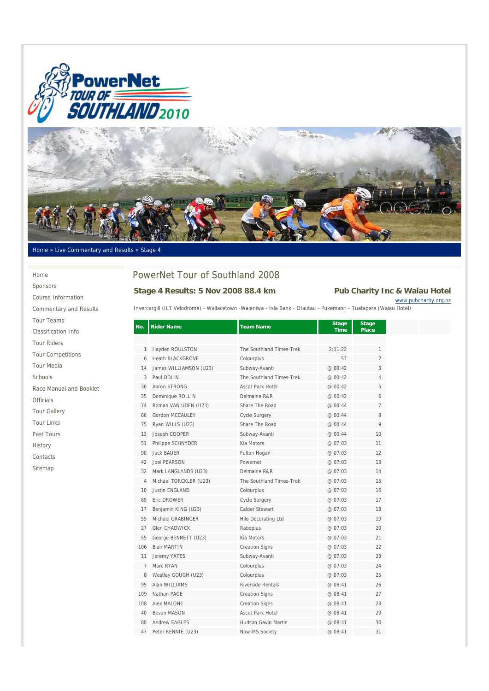



#### Home » Live Commentary and Results » Stage 4

Home Sponsors Course Information Commentary and Results Tour Teams Classification Info Tour Riders Tour Competitions Tour Media Schools Race Manual and Booklet Officials Tour Gallery Tour Links Past Tours History

Contacts Sitemap

# PowerNet Tour of Southland 2008

#### **Stage 4 Results: 5 Nov 2008 88.4 km Pub Charity Inc & Waiau Hotel**

www.pubcharity.org.nz

Invercargill (ILT Velodrome) - Wallacetown -Waianiwa - Isla Bank - Otautau - Pukemaori - Tuatapere (Waiau Hotel)

| No.            | <b>Rider Name</b>       | <b>Team Name</b>           | <b>Stage</b><br><b>Time</b> | <b>Stage</b><br>Place |
|----------------|-------------------------|----------------------------|-----------------------------|-----------------------|
|                |                         |                            |                             |                       |
| $\mathbf{1}$   | Hayden ROULSTON         | The Southland Times-Trek   | 2:11:22                     | 1                     |
| 6              | <b>Heath BLACKGROVE</b> | Colourplus                 | <b>ST</b>                   | $\overline{2}$        |
| 14             | James WILLIAMSON (U23)  | Subway-Avanti              | @ 00:42                     | 3                     |
| 3              | Paul ODLIN              | The Southland Times-Trek   | @00:42                      | 4                     |
| 36             | Aaron STRONG            | Ascot Park Hotel           | @ 00:42                     | 5                     |
| 35             | Dominique ROLLIN        | Delmaine R&R               | @ 00:42                     | 6                     |
| 74             | Roman VAN UDEN (U23)    | Share The Road             | @ 00:44                     | $\overline{7}$        |
| 66             | Gordon MCCAULEY         | <b>Cycle Surgery</b>       | @ 00:44                     | 8                     |
| 75             | Ryan WILLS (U23)        | Share The Road             | @ 00:44                     | 9                     |
| 13             | Joseph COOPER           | Subway-Avanti              | @ 00:44                     | 10                    |
| 51             | Philippe SCHNYDER       | Kia Motors                 | @ 07:03                     | 11                    |
| 90             | Jack BAUFR              | Fulton Hogan               | @ 07:03                     | 12                    |
| 42             | Joel PFARSON            | Powernet                   | @ 07:03                     | 13                    |
| 32             | Mark LANGLANDS (U23)    | Delmaine R&R               | @ 07:03                     | 14                    |
| 4              | Michael TORCKLER (U23)  | The Southland Times-Trek   | @ 07:03                     | 15                    |
| 10             | <b>Justin ENGLAND</b>   | Colourplus                 | @ 07:03                     | 16                    |
| 69             | Fric DROWER             | Cycle Surgery              | @ 07:03                     | 17                    |
| 17             | Benjamin KING (U23)     | Calder Stewart             | @07:03                      | 18                    |
| 59             | Michael GRABINGER       | <b>Hilo Decorating Ltd</b> | @ 07:03                     | 19                    |
| 27             | <b>Glen CHADWICK</b>    | Raboplus                   | @ 07:03                     | 20                    |
| 55             | George BENNETT (U23)    | Kia Motors                 | @ 07:03                     | 21                    |
| 106            | <b>Blair MARTIN</b>     | <b>Creation Signs</b>      | @ 07:03                     | 22                    |
| 11             | Jeremy YATES            | Subway-Avanti              | @ 07:03                     | 23                    |
| $\overline{7}$ | Marc RYAN               | Colourplus                 | @ 07:03                     | 24                    |
| 8              | Westley GOUGH (U23)     | Colourplus                 | @ 07:03                     | 25                    |
| 95             | Alan WILLIAMS           | <b>Riverside Rentals</b>   | @ 08:41                     | 26                    |
| 109            | Nathan PAGE             | <b>Creation Signs</b>      | @ 08:41                     | 27                    |
| 108            | Alex MALONE             | <b>Creation Signs</b>      | @ 08:41                     | 28                    |
| 40             | Bevan MASON             | Ascot Park Hotel           | @ 08:41                     | 29                    |
| 80             | Andrew FAGLES           | Hudson Gavin Martin        | @ 08:41                     | 30                    |
| 47             | Peter RENNIE (U23)      | Now-MS Society             | @ 08:41                     | 31                    |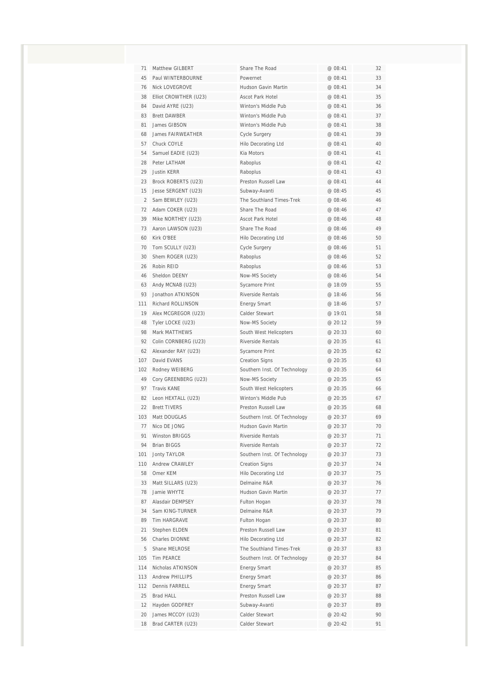| 71             | Matthew GILBERT       | Share The Road               | @ 08:41 | 32 |
|----------------|-----------------------|------------------------------|---------|----|
| 45             | Paul WINTERBOURNE     | Powernet                     | @ 08:41 | 33 |
| 76             | Nick LOVEGROVE        | Hudson Gavin Martin          | @ 08:41 | 34 |
| 38             | Elliot CROWTHER (U23) | <b>Ascot Park Hotel</b>      | @ 08:41 | 35 |
| 84             | David AYRE (U23)      | Winton's Middle Pub          | @ 08:41 | 36 |
| 83             | <b>Brett DAWBER</b>   | Winton's Middle Pub          | @ 08:41 | 37 |
| 81             | James GIBSON          | Winton's Middle Pub          | @ 08:41 | 38 |
| 68             | James FAIRWEATHER     | Cycle Surgery                | @ 08:41 | 39 |
| 57             | Chuck COYLE           | <b>Hilo Decorating Ltd</b>   | @ 08:41 | 40 |
| 54             | Samuel EADIE (U23)    | Kia Motors                   | @ 08:41 | 41 |
| 28             | Peter LATHAM          | Raboplus                     | @ 08:41 | 42 |
| 29             | Justin KFRR           | Raboplus                     | @ 08:41 | 43 |
| 23             | Brock ROBERTS (U23)   | Preston Russell Law          | @ 08:41 | 44 |
| 15             | Jesse SERGENT (U23)   | Subway-Avanti                | @ 08:45 | 45 |
| $\overline{2}$ | Sam BEWLEY (U23)      | The Southland Times-Trek     | @ 08:46 | 46 |
| 72             | Adam COKER (U23)      | Share The Road               | @ 08:46 | 47 |
| 39             | Mike NORTHEY (U23)    | Ascot Park Hotel             | @ 08:46 | 48 |
| 73             | Aaron LAWSON (U23)    | Share The Road               | @ 08:46 | 49 |
| 60             | Kirk O'BEE            | <b>Hilo Decorating Ltd</b>   | @ 08:46 | 50 |
| 70             | Tom SCULLY (U23)      | Cycle Surgery                | @ 08:46 | 51 |
| 30             | Shem ROGER (U23)      | Raboplus                     | @ 08:46 | 52 |
| 26             | Robin REID            | Raboplus                     | @ 08:46 | 53 |
| 46             | Sheldon DEENY         | Now-MS Society               | @ 08:46 | 54 |
| 63             | Andy MCNAB (U23)      | Sycamore Print               | @ 18:09 | 55 |
| 93             | Jonathon ATKINSON     | Riverside Rentals            | @ 18:46 | 56 |
| 111            | Richard ROLLINSON     | <b>Energy Smart</b>          | @ 18:46 | 57 |
| 19             | Alex MCGREGOR (U23)   | Calder Stewart               | @ 19:01 | 58 |
| 48             | Tyler LOCKE (U23)     | Now-MS Society               | @20:12  | 59 |
| 98             | Mark MATTHEWS         | South West Helicopters       | @ 20:33 | 60 |
| 92             | Colin CORNBERG (U23)  | Riverside Rentals            | @ 20:35 | 61 |
| 62             | Alexander RAY (U23)   | Sycamore Print               | @ 20:35 | 62 |
| 107            | David EVANS           | <b>Creation Signs</b>        | @20:35  | 63 |
| 102            | Rodney WEIBERG        | Southern Inst. Of Technology | @ 20:35 | 64 |
| 49             | Cory GREENBERG (U23)  | Now-MS Society               | @ 20:35 | 65 |
| 97             | <b>Travis KANE</b>    | South West Helicopters       | @ 20:35 | 66 |
| 82             | Leon HEXTALL (U23)    | Winton's Middle Pub          | @ 20:35 | 67 |
| 22             | <b>Brett TIVERS</b>   | Preston Russell Law          | @ 20:35 | 68 |
| 103            | Matt DOUGLAS          | Southern Inst. Of Technology | @ 20:37 | 69 |
| 77             | Nico DE JONG          | Hudson Gavin Martin          | @ 20:37 | 70 |
| 91             | <b>Winston BRIGGS</b> | Riverside Rentals            | @ 20:37 | 71 |
| 94             | <b>Brian BIGGS</b>    | Riverside Rentals            | @ 20:37 | 72 |
| 101            | <b>Jonty TAYLOR</b>   | Southern Inst. Of Technology | @ 20:37 | 73 |
| 110            | Andrew CRAWLEY        | <b>Creation Signs</b>        | @ 20:37 | 74 |
| 58             | Omer KEM              | <b>Hilo Decorating Ltd</b>   | @ 20:37 | 75 |
| 33             | Matt SILLARS (U23)    | Delmaine R&R                 | @ 20:37 | 76 |
| 78             | Jamie WHYTE           | Hudson Gavin Martin          | @ 20:37 | 77 |
| 87             | Alasdair DEMPSEY      | Fulton Hogan                 | @ 20:37 | 78 |
| 34             | Sam KING-TURNER       | Delmaine R&R                 | @ 20:37 | 79 |
| 89             | Tim HARGRAVE          | Fulton Hogan                 | @ 20:37 | 80 |
| 21             | Stephen ELDEN         | Preston Russell Law          | @ 20:37 | 81 |
| 56             | Charles DIONNE        | Hilo Decorating Ltd          | @ 20:37 | 82 |
| 5              | Shane MELROSE         | The Southland Times-Trek     | @ 20:37 | 83 |
| 105            | Tim PEARCE            | Southern Inst. Of Technology | @ 20:37 | 84 |
| 114            | Nicholas ATKINSON     | <b>Energy Smart</b>          | @ 20:37 | 85 |
| 113            | Andrew PHILLIPS       | <b>Energy Smart</b>          | @ 20:37 | 86 |
| 112            | Dennis FARRELL        | <b>Energy Smart</b>          | @ 20:37 | 87 |
| 25             | Brad HALL             | Preston Russell Law          | @ 20:37 | 88 |
| 12             | Hayden GODFREY        | Subway-Avanti                | @ 20:37 | 89 |
| 20             | James MCCOY (U23)     | Calder Stewart               | @ 20:42 | 90 |
| 18             | Brad CARTER (U23)     | Calder Stewart               | @ 20:42 | 91 |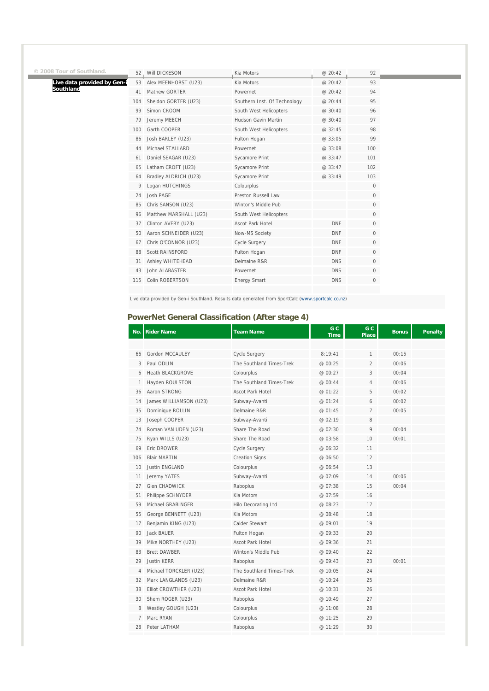| © 2008 Tour of Southland.   |     | 52. Will DICKESON      | Kia Motors                   | @ 20:42    | 92                  |
|-----------------------------|-----|------------------------|------------------------------|------------|---------------------|
| Live data provided by Gen-i | 53  | Alex MEENHORST (U23)   | Kia Motors                   | @ 20:42    | 93                  |
| Southland                   | 41  | Mathew GORTER          | Powernet                     | @ 20:42    | 94                  |
|                             | 104 | Sheldon GORTER (U23)   | Southern Inst. Of Technology | @ 20:44    | 95                  |
|                             | 99  | Simon CROOM            | South West Helicopters       | @ 30:40    | 96                  |
|                             | 79  | Jeremy MEECH           | Hudson Gavin Martin          | @ 30:40    | 97                  |
|                             | 100 | Garth COOPER           | South West Helicopters       | @ 32:45    | 98                  |
|                             | 86  | Josh BARLEY (U23)      | Fulton Hogan                 | @ 33:05    | 99                  |
|                             | 44  | Michael STALLARD       | Powernet                     | @ 33:08    | 100                 |
|                             | 61  | Daniel SEAGAR (U23)    | <b>Sycamore Print</b>        | @ 33:47    | 101                 |
|                             | 65  | Latham CROFT (U23)     | <b>Sycamore Print</b>        | @ 33:47    | 102                 |
|                             | 64  | Bradley ALDRICH (U23)  | Sycamore Print               | @ 33:49    | 103                 |
|                             | 9   | Logan HUTCHINGS        | Colourplus                   |            | $\mathbf 0$         |
|                             | 24  | Josh PAGE              | Preston Russell Law          |            | 0                   |
|                             | 85  | Chris SANSON (U23)     | Winton's Middle Pub          |            | 0                   |
|                             | 96  | Matthew MARSHALL (U23) | South West Helicopters       |            | $\mathsf{O}\xspace$ |
|                             | 37  | Clinton AVERY (U23)    | Ascot Park Hotel             | <b>DNF</b> | $\mathbf 0$         |
|                             | 50  | Aaron SCHNEIDER (U23)  | Now-MS Society               | <b>DNF</b> | $\mathbf{0}$        |
|                             | 67  | Chris O'CONNOR (U23)   | <b>Cycle Surgery</b>         | <b>DNF</b> | $\mathbf 0$         |
|                             | 88  | Scott RAINSFORD        | Fulton Hogan                 | <b>DNF</b> | $\mathbf{0}$        |
|                             | 31  | Ashley WHITEHEAD       | Delmaine R&R                 | <b>DNS</b> | $\mathbf 0$         |
|                             | 43  | John ALABASTER         | Powernet                     | <b>DNS</b> | $\mathbf{0}$        |
|                             | 115 | Colin ROBERTSON        | <b>Energy Smart</b>          | <b>DNS</b> | $\mathbf 0$         |
|                             |     |                        |                              |            |                     |
|                             |     |                        |                              |            |                     |

Live data provided by Gen-i Southland. Results data generated from SportCalc (www.sportcalc.co.nz)

### **PowerNet General Classification (After stage 4)**

| No. | <b>Rider Name</b>       | <b>Team Name</b>           | G C<br><b>Time</b> | G C<br><b>Place</b> | <b>Bonus</b> | <b>Penalty</b> |
|-----|-------------------------|----------------------------|--------------------|---------------------|--------------|----------------|
|     |                         |                            |                    |                     |              |                |
| 66  | Gordon MCCAULEY         | <b>Cycle Surgery</b>       | 8:19:41            | 1                   | 00:15        |                |
| 3   | Paul ODLIN              | The Southland Times-Trek   | @ 00:25            | $\overline{2}$      | 00:06        |                |
| 6   | <b>Heath BLACKGROVE</b> | Colourplus                 | @ 00:27            | 3                   | 00:04        |                |
| 1   | Hayden ROULSTON         | The Southland Times-Trek   | @ 00:44            | 4                   | 00:06        |                |
| 36  | Aaron STRONG            | <b>Ascot Park Hotel</b>    | @ 01:22            | 5                   | 00:02        |                |
| 14  | James WILLIAMSON (U23)  | Subway-Avanti              | @ 01:24            | 6                   | 00:02        |                |
| 35  | Dominique ROLLIN        | Delmaine R&R               | @ 01:45            | 7                   | 00:05        |                |
| 13  | Joseph COOPER           | Subway-Avanti              | @ 02:19            | 8                   |              |                |
| 74  | Roman VAN UDEN (U23)    | Share The Road             | @ 02:30            | 9                   | 00:04        |                |
| 75  | Ryan WILLS (U23)        | Share The Road             | @ 03:58            | 10                  | 00:01        |                |
| 69  | Eric DROWER             | Cycle Surgery              | @ 06:32            | 11                  |              |                |
| 106 | <b>Blair MARTIN</b>     | <b>Creation Signs</b>      | @ 06:50            | 12                  |              |                |
| 10  | <b>Justin ENGLAND</b>   | Colourplus                 | @ 06:54            | 13                  |              |                |
| 11  | Jeremy YATES            | Subway-Avanti              | @ 07:09            | 14                  | 00:06        |                |
| 27  | <b>Glen CHADWICK</b>    | Raboplus                   | @ 07:38            | 15                  | 00:04        |                |
| 51  | Philippe SCHNYDER       | Kia Motors                 | @ 07:59            | 16                  |              |                |
| 59  | Michael GRABINGER       | <b>Hilo Decorating Ltd</b> | @ 08:23            | 17                  |              |                |
| 55  | George BENNETT (U23)    | Kia Motors                 | @ 08:48            | 18                  |              |                |
| 17  | Benjamin KING (U23)     | Calder Stewart             | @ 09:01            | 19                  |              |                |
| 90  | <b>Jack BAUER</b>       | Fulton Hogan               | @ 09:33            | 20                  |              |                |
| 39  | Mike NORTHEY (U23)      | Ascot Park Hotel           | @ 09:36            | 21                  |              |                |
| 83  | <b>Brett DAWBER</b>     | Winton's Middle Pub        | @ 09:40            | 22                  |              |                |
| 29  | <b>Justin KERR</b>      | Raboplus                   | @ 09:43            | 23                  | 00:01        |                |
| 4   | Michael TORCKLER (U23)  | The Southland Times-Trek   | @ 10:05            | 24                  |              |                |
| 32  | Mark LANGLANDS (U23)    | Delmaine R&R               | @ 10:24            | 25                  |              |                |
| 38  | Elliot CROWTHER (U23)   | <b>Ascot Park Hotel</b>    | @ 10:31            | 26                  |              |                |
| 30  | Shem ROGER (U23)        | Raboplus                   | @ 10:49            | 27                  |              |                |
| 8   | Westley GOUGH (U23)     | Colourplus                 | @ 11:08            | 28                  |              |                |
| 7   | Marc RYAN               | Colourplus                 | @ 11:25            | 29                  |              |                |
| 28  | Peter LATHAM            | Raboplus                   | @ 11:29            | 30                  |              |                |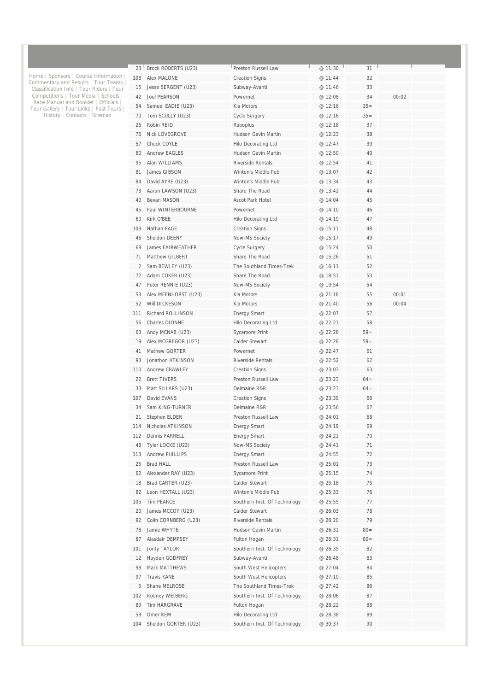| 23 <sup>1</sup> | Brock ROBERTS (U23)      | Preston Russell Law                        | @ 11:30 | 31     |       |  |
|-----------------|--------------------------|--------------------------------------------|---------|--------|-------|--|
| 108             | Alex MALONE              | <b>Creation Signs</b>                      | @ 11:44 | 32     |       |  |
| 15              | Jesse SERGENT (U23)      | Subway-Avanti                              | @ 11:46 | 33     |       |  |
| 42              | <b>Joel PEARSON</b>      | Powernet                                   | @ 12:08 | 34     | 00:02 |  |
| 54              | Samuel EADIE (U23)       | Kia Motors                                 | @ 12:16 | $35=$  |       |  |
| 70              | Tom SCULLY (U23)         | Cycle Surgery                              | @ 12:16 | $35=$  |       |  |
| 26              | Robin REID               | Raboplus                                   | @ 12:18 | 37     |       |  |
| 76              | <b>Nick LOVEGROVE</b>    | Hudson Gavin Martin                        | @ 12:23 | 38     |       |  |
| 57              | Chuck COYLE              | Hilo Decorating Ltd                        | @ 12:47 | 39     |       |  |
| 80              | <b>Andrew EAGLES</b>     | Hudson Gavin Martin                        | @ 12:50 | 40     |       |  |
| 95              | Alan WILLIAMS            | Riverside Rentals                          | @ 12:54 | 41     |       |  |
| 81              | James GIBSON             | Winton's Middle Pub                        | @ 13:07 | 42     |       |  |
| 84              | David AYRE (U23)         | Winton's Middle Pub                        | @ 13:34 | 43     |       |  |
| 73              | Aaron LAWSON (U23)       | Share The Road                             | @ 13:42 | 44     |       |  |
| 40              | Bevan MASON              | Ascot Park Hotel                           | @ 14:04 | 45     |       |  |
| 45              | Paul WINTERBOURNE        | Powernet                                   | @ 14:10 | 46     |       |  |
| 60              | Kirk O'BFF               | Hilo Decorating Ltd                        | @ 14:19 | 47     |       |  |
| 109             | Nathan PAGE              | <b>Creation Signs</b>                      | @ 15:11 | 48     |       |  |
| 46              | Sheldon DEENY            | Now-MS Society                             | @ 15:17 | 49     |       |  |
| 68              | <b>James FAIRWEATHER</b> | <b>Cycle Surgery</b>                       | @ 15:24 | 50     |       |  |
| 71              | Matthew GILBERT          | Share The Road                             | @ 15:26 | 51     |       |  |
| 2               | Sam BEWLEY (U23)         | The Southland Times-Trek                   | @ 16:11 | 52     |       |  |
| 72              | Adam COKER (U23)         | Share The Road                             | @ 18:51 | 53     |       |  |
| 47              | Peter RENNIE (U23)       | Now-MS Society                             | @ 19:54 | 54     |       |  |
| 53              | Alex MEENHORST (U23)     | Kia Motors                                 | @ 21:18 | 55     | 00:01 |  |
| 52              | Will DICKESON            | Kia Motors                                 | @ 21:40 | 56     | 00:04 |  |
| 111             | Richard ROLLINSON        | <b>Energy Smart</b>                        | @ 22:07 | 57     |       |  |
| 56              | Charles DIONNE           | Hilo Decorating Ltd                        | @ 22:21 | 58     |       |  |
| 63              | Andy MCNAB (U23)         | <b>Sycamore Print</b>                      | @ 22:28 | $59=$  |       |  |
| 19              | Alex MCGREGOR (U23)      | <b>Calder Stewart</b>                      | @ 22:28 | $59=$  |       |  |
| 41              | <b>Mathew GORTER</b>     | Powernet                                   | @ 22:47 | 61     |       |  |
| 93              | Jonathon ATKINSON        | <b>Riverside Rentals</b>                   | @ 22:52 | 62     |       |  |
| 110             | Andrew CRAWLEY           | <b>Creation Signs</b>                      | @ 23:03 | 63     |       |  |
| 22              | <b>Brett TIVERS</b>      | Preston Russell Law                        | @ 23:23 | $64=$  |       |  |
| 33              | Matt SILLARS (U23)       | Delmaine R&R                               | @ 23:23 | $64=$  |       |  |
| 107             | David EVANS              | <b>Creation Signs</b>                      | @ 23:39 | 66     |       |  |
| 34              | Sam KING-TURNER          | Delmaine R&R                               | @ 23:56 | 67     |       |  |
| 21              | Stephen ELDEN            | Preston Russell Law                        | @ 24:01 | 68     |       |  |
| 114             | Nicholas ATKINSON        | <b>Energy Smart</b>                        | @ 24:19 | 69     |       |  |
| 112             | Dennis FARRELL           | <b>Energy Smart</b>                        | @ 24:21 | 70     |       |  |
| 48              | Tyler LOCKE (U23)        | Now-MS Society                             | @ 24:41 | 71     |       |  |
|                 | Andrew PHILLIPS          |                                            | @ 24:55 | 72     |       |  |
| 113<br>25       | <b>Brad HALL</b>         | <b>Energy Smart</b><br>Preston Russell Law | @ 25:01 | 73     |       |  |
| 62              | Alexander RAY (U23)      | Sycamore Print                             | @ 25:15 | 74     |       |  |
|                 |                          | Calder Stewart                             |         |        |       |  |
| 18              | Brad CARTER (U23)        |                                            | @ 25:18 | 75     |       |  |
| 82              | Leon HEXTALL (U23)       | Winton's Middle Pub                        | @ 25:33 | 76     |       |  |
| 105             | Tim PEARCE               | Southern Inst. Of Technology               | @ 25:55 | 77     |       |  |
| 20              | James MCCOY (U23)        | Calder Stewart                             | @ 26:03 | 78     |       |  |
| 92              | Colin CORNBERG (U23)     | <b>Riverside Rentals</b>                   | @ 26:20 | 79     |       |  |
| 78              | Jamie WHYTE              | Hudson Gavin Martin                        | @ 26:31 | $80 =$ |       |  |
| 87              | Alasdair DEMPSEY         | Fulton Hogan                               | @ 26:31 | $80 =$ |       |  |
| 101             | <b>Jonty TAYLOR</b>      | Southern Inst. Of Technology               | @ 26:35 | 82     |       |  |
| 12              | Hayden GODFREY           | Subway-Avanti                              | @ 26:48 | 83     |       |  |
| 98              | Mark MATTHEWS            | South West Helicopters                     | @ 27:04 | 84     |       |  |
| 97              | <b>Travis KANE</b>       | South West Helicopters                     | @ 27:10 | 85     |       |  |
| 5               | Shane MELROSE            | The Southland Times-Trek                   | @ 27:42 | 86     |       |  |
| 102             | Rodney WEIBERG           | Southern Inst. Of Technology               | @ 28:06 | 87     |       |  |
| 89              | Tim HARGRAVE             | Fulton Hogan                               | @ 28:22 | 88     |       |  |
| 58              | Omer KEM                 | Hilo Decorating Ltd                        | @ 28:38 | 89     |       |  |
| 104             | Sheldon GORTER (U23)     | Southern Inst. Of Technology               | @ 30:37 | 90     |       |  |
|                 |                          |                                            |         |        |       |  |

Home | Sponsors | Course Information | Commentary and Results | Tour Teams | Classification Info | Tour Riders | Tour Competitions | Tour Media | Schools | Race Manual and Booklet | Officials | Tour Gallery | Tour Links | Past Tours | History | Contacts | Sitemap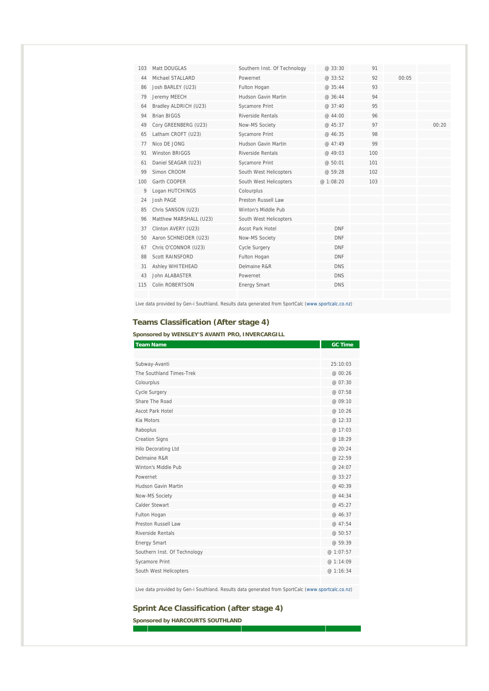| 103 | Matt DOUGLAS           | Southern Inst. Of Technology | @33:30     | 91  |       |       |
|-----|------------------------|------------------------------|------------|-----|-------|-------|
| 44  | Michael STALLARD       | Powernet                     | @33:52     | 92  | 00:05 |       |
| 86  | Josh BARLEY (U23)      | Fulton Hogan                 | @35:44     | 93  |       |       |
| 79  | Jeremy MEECH           | Hudson Gavin Martin          | @ 36:44    | 94  |       |       |
| 64  | Bradley ALDRICH (U23)  | Sycamore Print               | @ 37:40    | 95  |       |       |
| 94  | <b>Brian BIGGS</b>     | Riverside Rentals            | @ 44:00    | 96  |       |       |
| 49  | Cory GREENBERG (U23)   | Now-MS Society               | @ 45:37    | 97  |       | 00:20 |
| 65  | Latham CROFT (U23)     | Sycamore Print               | @ 46:35    | 98  |       |       |
| 77  | Nico DE JONG           | Hudson Gavin Martin          | @47.49     | 99  |       |       |
| 91  | <b>Winston BRIGGS</b>  | <b>Riverside Rentals</b>     | @ 49:03    | 100 |       |       |
| 61  | Daniel SEAGAR (U23)    | Sycamore Print               | @ 50:01    | 101 |       |       |
| 99  | Simon CROOM            | South West Helicopters       | @ 59:28    | 102 |       |       |
| 100 | Garth COOPER           | South West Helicopters       | @ 1:08:20  | 103 |       |       |
| 9   | Logan HUTCHINGS        | Colourplus                   |            |     |       |       |
| 24  | Josh PAGE              | Preston Russell Law          |            |     |       |       |
| 85  | Chris SANSON (U23)     | Winton's Middle Pub          |            |     |       |       |
| 96  | Matthew MARSHALL (U23) | South West Helicopters       |            |     |       |       |
| 37  | Clinton AVERY (U23)    | Ascot Park Hotel             | <b>DNF</b> |     |       |       |
| 50  | Aaron SCHNEIDER (U23)  | Now-MS Society               | <b>DNF</b> |     |       |       |
| 67  | Chris O'CONNOR (U23)   | <b>Cycle Surgery</b>         | <b>DNF</b> |     |       |       |
| 88  | Scott RAINSFORD        | Fulton Hogan                 | <b>DNF</b> |     |       |       |
| 31  | Ashley WHITEHEAD       | Delmaine R&R                 | <b>DNS</b> |     |       |       |
| 43  | John ALABASTER         | Powernet                     | <b>DNS</b> |     |       |       |
| 115 | Colin ROBERTSON        | <b>Energy Smart</b>          | <b>DNS</b> |     |       |       |
|     |                        |                              |            |     |       |       |

Live data provided by Gen-i Southland. Results data generated from SportCalc (www.sportcalc.co.nz)

#### **Teams Classification (After stage 4)**

**Sponsored by WENSLEY'S AVANTI PRO, INVERCARGILL** 

| <b>Team Name</b>             | <b>GC Time</b> |
|------------------------------|----------------|
|                              |                |
| Subway-Avanti                | 25:10:03       |
| The Southland Times-Trek     | @ 00:26        |
| Colourplus                   | @ 07:30        |
| Cycle Surgery                | @ 07:58        |
| Share The Road               | @ 09:10        |
| Ascot Park Hotel             | @ 10:26        |
| Kia Motors                   | @ 12:33        |
| Raboplus                     | @ 17:03        |
| <b>Creation Signs</b>        | @ 18:29        |
| Hilo Decorating Ltd          | @ 20:24        |
| Delmaine R&R                 | @ 22:59        |
| Winton's Middle Pub          | @ 24:07        |
| Powernet                     | @ 33:27        |
| Hudson Gavin Martin          | @ 40:39        |
| Now-MS Society               | @ 44:34        |
| Calder Stewart               | @ 45:27        |
| Fulton Hogan                 | @ 46:37        |
| Preston Russell Law          | @ 47:54        |
| Riverside Rentals            | @ 50:57        |
| <b>Energy Smart</b>          | @ 59:39        |
| Southern Inst. Of Technology | @ 1:07:57      |
| <b>Sycamore Print</b>        | @ 1:14:09      |
| South West Helicopters       | @ 1:16:34      |
|                              |                |

Live data provided by Gen-i Southland. Results data generated from SportCalc (www.sportcalc.co.nz)

#### **Sprint Ace Classification (after stage 4)**

**Sponsored by HARCOURTS SOUTHLAND** 

T